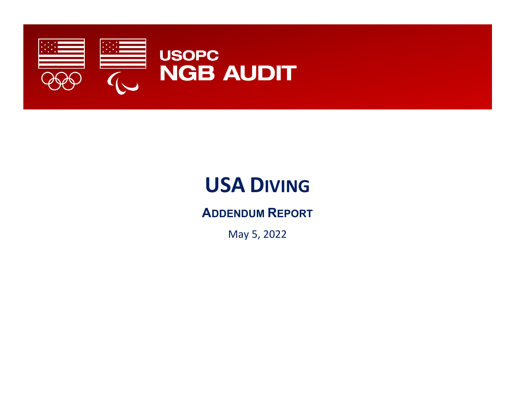

# **USA DIVING**

**ADDENDUM REPORT**

May 5, 2022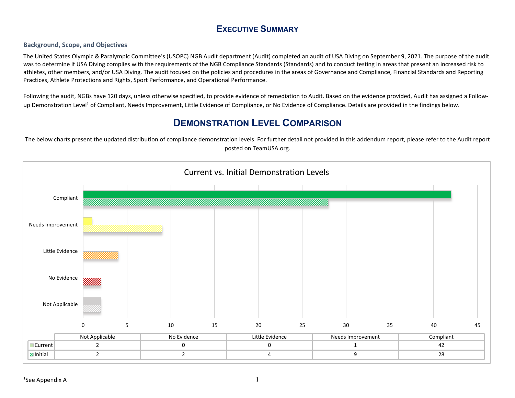#### **EXECUTIVE SUMMARY**

#### **Background, Scope, and Objectives**

The United States Olympic & Paralympic Committee's (USOPC) NGB Audit department (Audit) completed an audit of USA Diving on September 9, 2021. The purpose of the audit was to determine if USA Diving complies with the requirements of the NGB Compliance Standards (Standards) and to conduct testing in areas that present an increased risk to athletes, other members, and/or USA Diving. The audit focused on the policies and procedures in the areas of Governance and Compliance, Financial Standards and Reporting Practices, Athlete Protections and Rights, Sport Performance, and Operational Performance.

<span id="page-1-1"></span>Following the audit, NGBs have 120 days, unless otherwise specified, to provide evidence of remediation to Audit. Based on the evidence provided, Audit has assigned a Followup Demonstration Level<sup>1</sup> of Compliant, Needs Improvement, Little Evidence of Compliance, or No Evidence of Compliance. Details are provided in the findings below.

## **DEMONSTRATION LEVEL COMPARISON**

The below charts present the updated distribution of compliance demonstration levels. For further detail not provided in this addendum report, please refer to the Audit report posted on [TeamUSA.org](http://TeamUSA.org).

<span id="page-1-0"></span>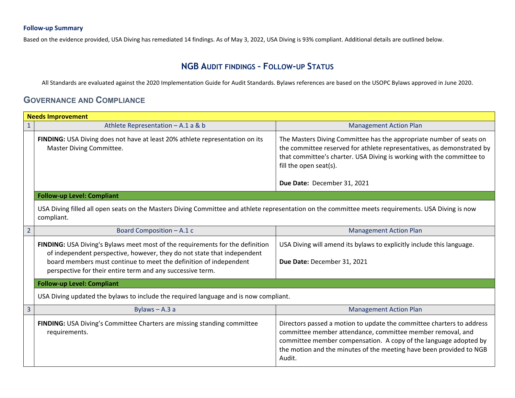#### **Follow-up Summary**

Based on the evidence provided, USA Diving has remediated 14 findings. As of May 3, 2022, USA Diving is 93% compliant. Additional details are outlined below.

### **NGB AUDIT FINDINGS – FOLLOW-UP STATUS**

All Standards are evaluated against the 2020 Implementation Guide for Audit Standards. Bylaws references are based on the USOPC Bylaws approved in June 2020.

#### **GOVERNANCE AND COMPLIANCE**

| <b>Needs Improvement</b> |                                                                                                                                                                                                                                                                                             |                                                                                                                                                                                                                                                                                          |  |
|--------------------------|---------------------------------------------------------------------------------------------------------------------------------------------------------------------------------------------------------------------------------------------------------------------------------------------|------------------------------------------------------------------------------------------------------------------------------------------------------------------------------------------------------------------------------------------------------------------------------------------|--|
| $\mathbf{1}$             | Athlete Representation - A.1 a & b                                                                                                                                                                                                                                                          | <b>Management Action Plan</b>                                                                                                                                                                                                                                                            |  |
|                          | FINDING: USA Diving does not have at least 20% athlete representation on its<br>Master Diving Committee.                                                                                                                                                                                    | The Masters Diving Committee has the appropriate number of seats on<br>the committee reserved for athlete representatives, as demonstrated by<br>that committee's charter. USA Diving is working with the committee to<br>fill the open seat(s).                                         |  |
|                          |                                                                                                                                                                                                                                                                                             | Due Date: December 31, 2021                                                                                                                                                                                                                                                              |  |
|                          | <b>Follow-up Level: Compliant</b>                                                                                                                                                                                                                                                           |                                                                                                                                                                                                                                                                                          |  |
|                          | USA Diving filled all open seats on the Masters Diving Committee and athlete representation on the committee meets requirements. USA Diving is now<br>compliant.                                                                                                                            |                                                                                                                                                                                                                                                                                          |  |
| $\overline{2}$           | Board Composition - A.1 c                                                                                                                                                                                                                                                                   | <b>Management Action Plan</b>                                                                                                                                                                                                                                                            |  |
|                          | FINDING: USA Diving's Bylaws meet most of the requirements for the definition<br>of independent perspective, however, they do not state that independent<br>board members must continue to meet the definition of independent<br>perspective for their entire term and any successive term. | USA Diving will amend its bylaws to explicitly include this language.<br>Due Date: December 31, 2021                                                                                                                                                                                     |  |
|                          | <b>Follow-up Level: Compliant</b>                                                                                                                                                                                                                                                           |                                                                                                                                                                                                                                                                                          |  |
|                          | USA Diving updated the bylaws to include the required language and is now compliant.                                                                                                                                                                                                        |                                                                                                                                                                                                                                                                                          |  |
| 3                        | Bylaws $- A.3a$                                                                                                                                                                                                                                                                             | <b>Management Action Plan</b>                                                                                                                                                                                                                                                            |  |
|                          | FINDING: USA Diving's Committee Charters are missing standing committee<br>requirements.                                                                                                                                                                                                    | Directors passed a motion to update the committee charters to address<br>committee member attendance, committee member removal, and<br>committee member compensation. A copy of the language adopted by<br>the motion and the minutes of the meeting have been provided to NGB<br>Audit. |  |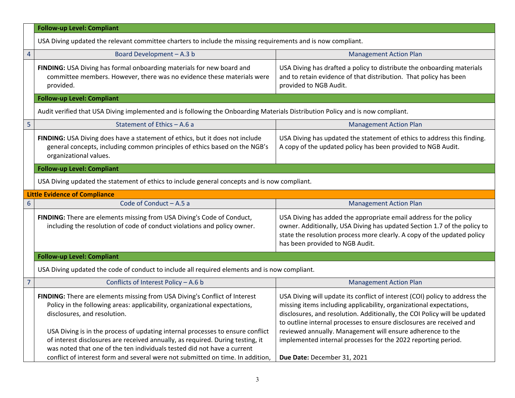|                                   | <b>Follow-up Level: Compliant</b>                                                                                                                                                                                                                                                                                                                                                                                                                                                                                         |                                                                                                                                                                                                                                                                                                                                                                                                                                                                       |  |
|-----------------------------------|---------------------------------------------------------------------------------------------------------------------------------------------------------------------------------------------------------------------------------------------------------------------------------------------------------------------------------------------------------------------------------------------------------------------------------------------------------------------------------------------------------------------------|-----------------------------------------------------------------------------------------------------------------------------------------------------------------------------------------------------------------------------------------------------------------------------------------------------------------------------------------------------------------------------------------------------------------------------------------------------------------------|--|
|                                   | USA Diving updated the relevant committee charters to include the missing requirements and is now compliant.                                                                                                                                                                                                                                                                                                                                                                                                              |                                                                                                                                                                                                                                                                                                                                                                                                                                                                       |  |
| $\overline{4}$                    | Board Development - A.3 b                                                                                                                                                                                                                                                                                                                                                                                                                                                                                                 | <b>Management Action Plan</b>                                                                                                                                                                                                                                                                                                                                                                                                                                         |  |
|                                   | FINDING: USA Diving has formal onboarding materials for new board and<br>committee members. However, there was no evidence these materials were<br>provided.                                                                                                                                                                                                                                                                                                                                                              | USA Diving has drafted a policy to distribute the onboarding materials<br>and to retain evidence of that distribution. That policy has been<br>provided to NGB Audit.                                                                                                                                                                                                                                                                                                 |  |
|                                   | <b>Follow-up Level: Compliant</b>                                                                                                                                                                                                                                                                                                                                                                                                                                                                                         |                                                                                                                                                                                                                                                                                                                                                                                                                                                                       |  |
|                                   | Audit verified that USA Diving implemented and is following the Onboarding Materials Distribution Policy and is now compliant.                                                                                                                                                                                                                                                                                                                                                                                            |                                                                                                                                                                                                                                                                                                                                                                                                                                                                       |  |
| 5                                 | Statement of Ethics - A.6 a                                                                                                                                                                                                                                                                                                                                                                                                                                                                                               | <b>Management Action Plan</b>                                                                                                                                                                                                                                                                                                                                                                                                                                         |  |
|                                   | FINDING: USA Diving does have a statement of ethics, but it does not include<br>general concepts, including common principles of ethics based on the NGB's<br>organizational values.                                                                                                                                                                                                                                                                                                                                      | USA Diving has updated the statement of ethics to address this finding.<br>A copy of the updated policy has been provided to NGB Audit.                                                                                                                                                                                                                                                                                                                               |  |
| <b>Follow-up Level: Compliant</b> |                                                                                                                                                                                                                                                                                                                                                                                                                                                                                                                           |                                                                                                                                                                                                                                                                                                                                                                                                                                                                       |  |
|                                   | USA Diving updated the statement of ethics to include general concepts and is now compliant.                                                                                                                                                                                                                                                                                                                                                                                                                              |                                                                                                                                                                                                                                                                                                                                                                                                                                                                       |  |
|                                   | <b>Little Evidence of Compliance</b>                                                                                                                                                                                                                                                                                                                                                                                                                                                                                      |                                                                                                                                                                                                                                                                                                                                                                                                                                                                       |  |
| 6                                 | Code of Conduct - A.5 a                                                                                                                                                                                                                                                                                                                                                                                                                                                                                                   | <b>Management Action Plan</b>                                                                                                                                                                                                                                                                                                                                                                                                                                         |  |
|                                   | FINDING: There are elements missing from USA Diving's Code of Conduct,<br>including the resolution of code of conduct violations and policy owner.                                                                                                                                                                                                                                                                                                                                                                        | USA Diving has added the appropriate email address for the policy<br>owner. Additionally, USA Diving has updated Section 1.7 of the policy to<br>state the resolution process more clearly. A copy of the updated policy<br>has been provided to NGB Audit.                                                                                                                                                                                                           |  |
|                                   | <b>Follow-up Level: Compliant</b>                                                                                                                                                                                                                                                                                                                                                                                                                                                                                         |                                                                                                                                                                                                                                                                                                                                                                                                                                                                       |  |
|                                   | USA Diving updated the code of conduct to include all required elements and is now compliant.                                                                                                                                                                                                                                                                                                                                                                                                                             |                                                                                                                                                                                                                                                                                                                                                                                                                                                                       |  |
| $\overline{7}$                    | Conflicts of Interest Policy - A.6 b                                                                                                                                                                                                                                                                                                                                                                                                                                                                                      | <b>Management Action Plan</b>                                                                                                                                                                                                                                                                                                                                                                                                                                         |  |
|                                   | FINDING: There are elements missing from USA Diving's Conflict of Interest<br>Policy in the following areas: applicability, organizational expectations,<br>disclosures, and resolution.<br>USA Diving is in the process of updating internal processes to ensure conflict<br>of interest disclosures are received annually, as required. During testing, it<br>was noted that one of the ten individuals tested did not have a current<br>conflict of interest form and several were not submitted on time. In addition, | USA Diving will update its conflict of interest (COI) policy to address the<br>missing items including applicability, organizational expectations,<br>disclosures, and resolution. Additionally, the COI Policy will be updated<br>to outline internal processes to ensure disclosures are received and<br>reviewed annually. Management will ensure adherence to the<br>implemented internal processes for the 2022 reporting period.<br>Due Date: December 31, 2021 |  |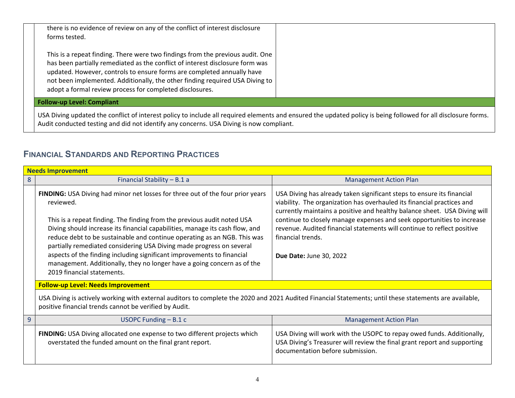| there is no evidence of review on any of the conflict of interest disclosure<br>forms tested.                                                                                                                                                                                                                                                                                         |  |
|---------------------------------------------------------------------------------------------------------------------------------------------------------------------------------------------------------------------------------------------------------------------------------------------------------------------------------------------------------------------------------------|--|
| This is a repeat finding. There were two findings from the previous audit. One<br>has been partially remediated as the conflict of interest disclosure form was<br>updated. However, controls to ensure forms are completed annually have<br>not been implemented. Additionally, the other finding required USA Diving to<br>adopt a formal review process for completed disclosures. |  |
| <b>Follow-up Level: Compliant</b>                                                                                                                                                                                                                                                                                                                                                     |  |

USA Diving updated the conflict of interest policy to include all required elements and ensured the updated policy is being followed for all disclosure forms. Audit conducted testing and did not identify any concerns. USA Diving is now compliant.

### **FINANCIAL STANDARDS AND REPORTING PRACTICES**

|                                           | <b>Needs Improvement</b>                                                                                                                                                                                                                                                                                                                                                                                                                                                                                                                                                                      |                                                                                                                                                                                                                                                                                                                                                                                                                                    |  |  |
|-------------------------------------------|-----------------------------------------------------------------------------------------------------------------------------------------------------------------------------------------------------------------------------------------------------------------------------------------------------------------------------------------------------------------------------------------------------------------------------------------------------------------------------------------------------------------------------------------------------------------------------------------------|------------------------------------------------------------------------------------------------------------------------------------------------------------------------------------------------------------------------------------------------------------------------------------------------------------------------------------------------------------------------------------------------------------------------------------|--|--|
| 8                                         | Financial Stability - B.1 a                                                                                                                                                                                                                                                                                                                                                                                                                                                                                                                                                                   | <b>Management Action Plan</b>                                                                                                                                                                                                                                                                                                                                                                                                      |  |  |
|                                           | FINDING: USA Diving had minor net losses for three out of the four prior years<br>reviewed.<br>This is a repeat finding. The finding from the previous audit noted USA<br>Diving should increase its financial capabilities, manage its cash flow, and<br>reduce debt to be sustainable and continue operating as an NGB. This was<br>partially remediated considering USA Diving made progress on several<br>aspects of the finding including significant improvements to financial<br>management. Additionally, they no longer have a going concern as of the<br>2019 financial statements. | USA Diving has already taken significant steps to ensure its financial<br>viability. The organization has overhauled its financial practices and<br>currently maintains a positive and healthy balance sheet. USA Diving will<br>continue to closely manage expenses and seek opportunities to increase<br>revenue. Audited financial statements will continue to reflect positive<br>financial trends.<br>Due Date: June 30, 2022 |  |  |
| <b>Follow-up Level: Needs Improvement</b> |                                                                                                                                                                                                                                                                                                                                                                                                                                                                                                                                                                                               |                                                                                                                                                                                                                                                                                                                                                                                                                                    |  |  |
|                                           | USA Diving is actively working with external auditors to complete the 2020 and 2021 Audited Financial Statements; until these statements are available,<br>positive financial trends cannot be verified by Audit.                                                                                                                                                                                                                                                                                                                                                                             |                                                                                                                                                                                                                                                                                                                                                                                                                                    |  |  |
| $\overline{9}$                            | USOPC Funding $- B.1 c$                                                                                                                                                                                                                                                                                                                                                                                                                                                                                                                                                                       | <b>Management Action Plan</b>                                                                                                                                                                                                                                                                                                                                                                                                      |  |  |
|                                           | FINDING: USA Diving allocated one expense to two different projects which<br>overstated the funded amount on the final grant report.                                                                                                                                                                                                                                                                                                                                                                                                                                                          | USA Diving will work with the USOPC to repay owed funds. Additionally,<br>USA Diving's Treasurer will review the final grant report and supporting<br>documentation before submission.                                                                                                                                                                                                                                             |  |  |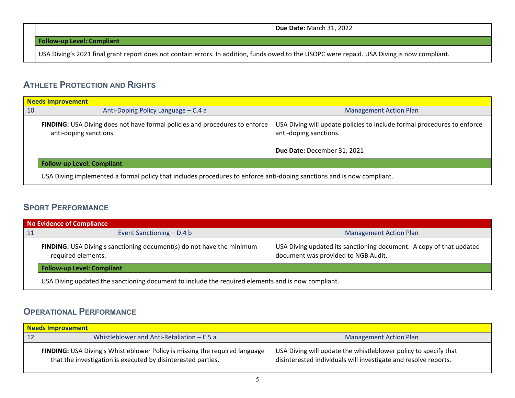**Due Date:** March 31, 2022

**Follow-up Level: Compliant**

USA Diving's 2021 final grant report does not contain errors. In addition, funds owed to the USOPC were repaid. USA Diving is now compliant.

#### **ATHLETE PROTECTION AND RIGHTS**

| <b>Needs Improvement</b> |                                                                                                                        |                                                                                                                                  |  |
|--------------------------|------------------------------------------------------------------------------------------------------------------------|----------------------------------------------------------------------------------------------------------------------------------|--|
| 10                       | Anti-Doping Policy Language - C.4 a                                                                                    | <b>Management Action Plan</b>                                                                                                    |  |
|                          | FINDING: USA Diving does not have formal policies and procedures to enforce<br>anti-doping sanctions.                  | USA Diving will update policies to include formal procedures to enforce<br>anti-doping sanctions.<br>Due Date: December 31, 2021 |  |
|                          | <b>Follow-up Level: Compliant</b>                                                                                      |                                                                                                                                  |  |
|                          | USA Diving implemented a formal policy that includes procedures to enforce anti-doping sanctions and is now compliant. |                                                                                                                                  |  |

#### **SPORT PERFORMANCE**

| <b>No Evidence of Compliance</b> |                                                                                                    |                                                                                                            |
|----------------------------------|----------------------------------------------------------------------------------------------------|------------------------------------------------------------------------------------------------------------|
| 11                               | Event Sanctioning – D.4 b                                                                          | <b>Management Action Plan</b>                                                                              |
|                                  | <b>FINDING:</b> USA Diving's sanctioning document(s) do not have the minimum<br>required elements. | USA Diving updated its sanctioning document. A copy of that updated<br>document was provided to NGB Audit. |
|                                  | <b>Follow-up Level: Compliant</b>                                                                  |                                                                                                            |
|                                  | USA Diving updated the sanctioning document to include the required elements and is now compliant. |                                                                                                            |

## **OPERATIONAL PERFORMANCE**

| <b>Needs Improvement</b> |                                                                                                                                                    |                                                                                                                                    |
|--------------------------|----------------------------------------------------------------------------------------------------------------------------------------------------|------------------------------------------------------------------------------------------------------------------------------------|
|                          | Whistleblower and Anti-Retaliation $- E.5 a$                                                                                                       | <b>Management Action Plan</b>                                                                                                      |
|                          | <b>FINDING:</b> USA Diving's Whistleblower Policy is missing the required language<br>that the investigation is executed by disinterested parties. | USA Diving will update the whistleblower policy to specify that<br>disinterested individuals will investigate and resolve reports. |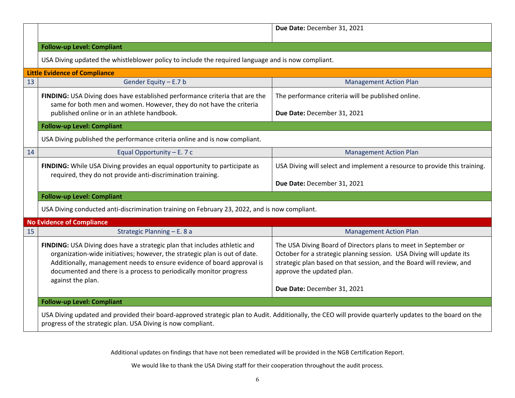|    |                                                                                                                                                                                                                                                                                                                              | Due Date: December 31, 2021                                                                                                                                                                                                                  |  |
|----|------------------------------------------------------------------------------------------------------------------------------------------------------------------------------------------------------------------------------------------------------------------------------------------------------------------------------|----------------------------------------------------------------------------------------------------------------------------------------------------------------------------------------------------------------------------------------------|--|
|    | <b>Follow-up Level: Compliant</b>                                                                                                                                                                                                                                                                                            |                                                                                                                                                                                                                                              |  |
|    | USA Diving updated the whistleblower policy to include the required language and is now compliant.                                                                                                                                                                                                                           |                                                                                                                                                                                                                                              |  |
|    | <b>Little Evidence of Compliance</b>                                                                                                                                                                                                                                                                                         |                                                                                                                                                                                                                                              |  |
| 13 | Gender Equity - E.7 b                                                                                                                                                                                                                                                                                                        | <b>Management Action Plan</b>                                                                                                                                                                                                                |  |
|    | FINDING: USA Diving does have established performance criteria that are the<br>same for both men and women. However, they do not have the criteria                                                                                                                                                                           | The performance criteria will be published online.                                                                                                                                                                                           |  |
|    | published online or in an athlete handbook.                                                                                                                                                                                                                                                                                  | Due Date: December 31, 2021                                                                                                                                                                                                                  |  |
|    | <b>Follow-up Level: Compliant</b>                                                                                                                                                                                                                                                                                            |                                                                                                                                                                                                                                              |  |
|    | USA Diving published the performance criteria online and is now compliant.                                                                                                                                                                                                                                                   |                                                                                                                                                                                                                                              |  |
| 14 | Equal Opportunity $- E. 7 c$                                                                                                                                                                                                                                                                                                 | <b>Management Action Plan</b>                                                                                                                                                                                                                |  |
|    | FINDING: While USA Diving provides an equal opportunity to participate as<br>required, they do not provide anti-discrimination training.                                                                                                                                                                                     | USA Diving will select and implement a resource to provide this training.                                                                                                                                                                    |  |
|    |                                                                                                                                                                                                                                                                                                                              | Due Date: December 31, 2021                                                                                                                                                                                                                  |  |
|    | <b>Follow-up Level: Compliant</b>                                                                                                                                                                                                                                                                                            |                                                                                                                                                                                                                                              |  |
|    | USA Diving conducted anti-discrimination training on February 23, 2022, and is now compliant.                                                                                                                                                                                                                                |                                                                                                                                                                                                                                              |  |
|    | <b>No Evidence of Compliance</b>                                                                                                                                                                                                                                                                                             |                                                                                                                                                                                                                                              |  |
| 15 | Strategic Planning - E. 8 a                                                                                                                                                                                                                                                                                                  | <b>Management Action Plan</b>                                                                                                                                                                                                                |  |
|    | FINDING: USA Diving does have a strategic plan that includes athletic and<br>organization-wide initiatives; however, the strategic plan is out of date.<br>Additionally, management needs to ensure evidence of board approval is<br>documented and there is a process to periodically monitor progress<br>against the plan. | The USA Diving Board of Directors plans to meet in September or<br>October for a strategic planning session. USA Diving will update its<br>strategic plan based on that session, and the Board will review, and<br>approve the updated plan. |  |
|    |                                                                                                                                                                                                                                                                                                                              | Due Date: December 31, 2021                                                                                                                                                                                                                  |  |
|    | <b>Follow-up Level: Compliant</b>                                                                                                                                                                                                                                                                                            |                                                                                                                                                                                                                                              |  |
|    | USA Diving updated and provided their board-approved strategic plan to Audit. Additionally, the CEO will provide quarterly updates to the board on the<br>progress of the strategic plan. USA Diving is now compliant.                                                                                                       |                                                                                                                                                                                                                                              |  |

Additional updates on findings that have not been remediated will be provided in the NGB Certification Report.

We would like to thank the USA Diving staff for their cooperation throughout the audit process.